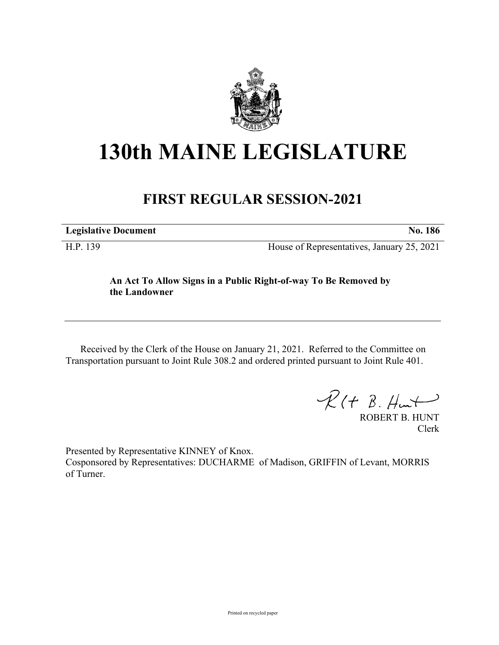

## **130th MAINE LEGISLATURE**

## **FIRST REGULAR SESSION-2021**

**Legislative Document No. 186** H.P. 139 House of Representatives, January 25, 2021

> **An Act To Allow Signs in a Public Right-of-way To Be Removed by the Landowner**

Received by the Clerk of the House on January 21, 2021. Referred to the Committee on Transportation pursuant to Joint Rule 308.2 and ordered printed pursuant to Joint Rule 401.

 $\mathcal{R}(t \; \mathcal{B}, \mathcal{H}_{\mathsf{int}})$ 

ROBERT B. HUNT Clerk

Presented by Representative KINNEY of Knox. Cosponsored by Representatives: DUCHARME of Madison, GRIFFIN of Levant, MORRIS of Turner.